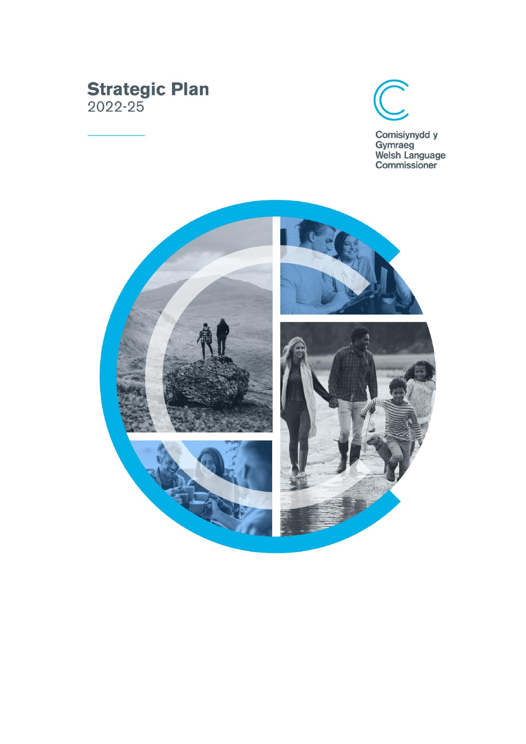# **Strategic Plan**<br>2022-25



Comisiynydd y<br>Gymraeg<br>Welsh Language<br>Commissioner

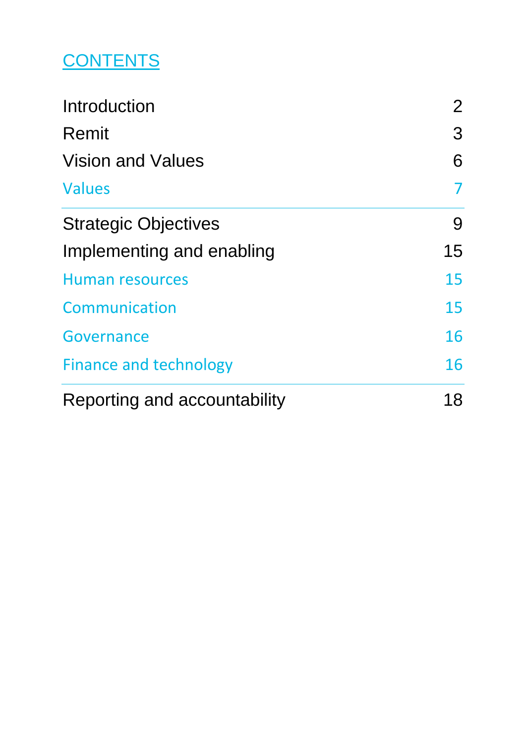### **CONTENTS**

| Introduction                  | 2 <sup>1</sup> |
|-------------------------------|----------------|
| Remit                         | 3              |
| <b>Vision and Values</b>      | 6              |
| <b>Values</b>                 | 7              |
| <b>Strategic Objectives</b>   | 9              |
| Implementing and enabling     | 15             |
| <b>Human resources</b>        | 15             |
| Communication                 | 15             |
| Governance                    | 16             |
| <b>Finance and technology</b> | 16             |
| Reporting and accountability  | 18             |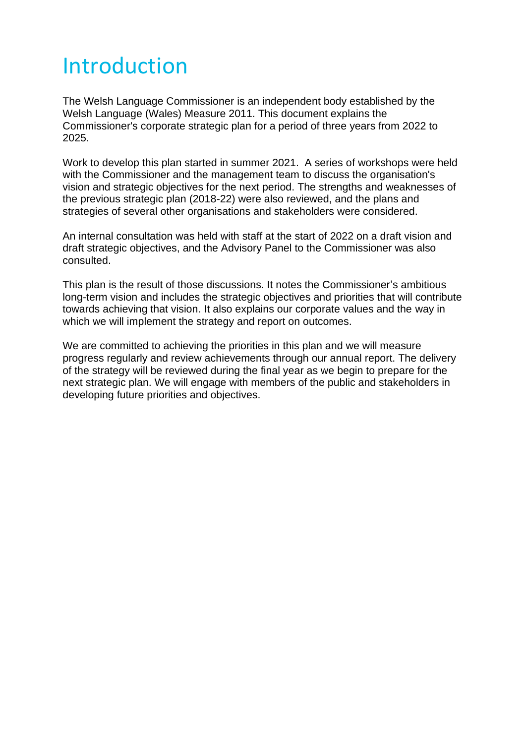### <span id="page-2-0"></span>Introduction

The Welsh Language Commissioner is an independent body established by the Welsh Language (Wales) Measure 2011. This document explains the Commissioner's corporate strategic plan for a period of three years from 2022 to 2025.

Work to develop this plan started in summer 2021. A series of workshops were held with the Commissioner and the management team to discuss the organisation's vision and strategic objectives for the next period. The strengths and weaknesses of the previous strategic plan (2018-22) were also reviewed, and the plans and strategies of several other organisations and stakeholders were considered.

An internal consultation was held with staff at the start of 2022 on a draft vision and draft strategic objectives, and the Advisory Panel to the Commissioner was also consulted.

This plan is the result of those discussions. It notes the Commissioner's ambitious long-term vision and includes the strategic objectives and priorities that will contribute towards achieving that vision. It also explains our corporate values and the way in which we will implement the strategy and report on outcomes.

We are committed to achieving the priorities in this plan and we will measure progress regularly and review achievements through our annual report. The delivery of the strategy will be reviewed during the final year as we begin to prepare for the next strategic plan. We will engage with members of the public and stakeholders in developing future priorities and objectives.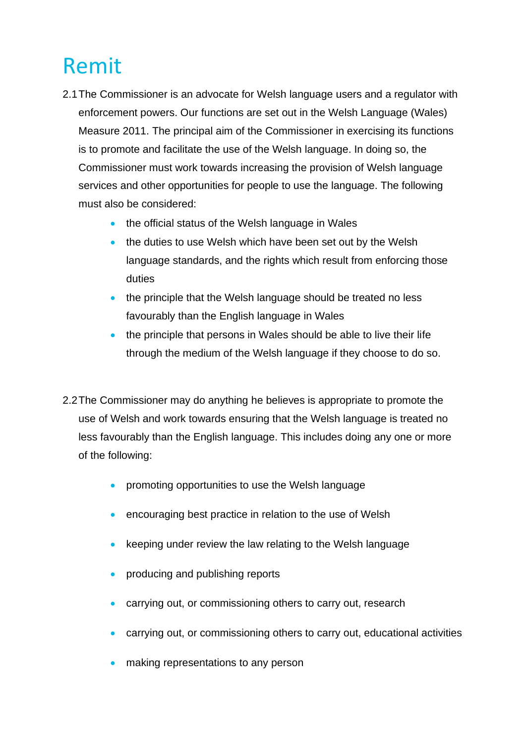# <span id="page-3-0"></span>Remit

- 2.1The Commissioner is an advocate for Welsh language users and a regulator with enforcement powers. Our functions are set out in the Welsh Language (Wales) Measure 2011. The principal aim of the Commissioner in exercising its functions is to promote and facilitate the use of the Welsh language. In doing so, the Commissioner must work towards increasing the provision of Welsh language services and other opportunities for people to use the language. The following must also be considered:
	- the official status of the Welsh language in Wales
	- the duties to use Welsh which have been set out by the Welsh language standards, and the rights which result from enforcing those duties
	- the principle that the Welsh language should be treated no less favourably than the English language in Wales
	- the principle that persons in Wales should be able to live their life through the medium of the Welsh language if they choose to do so.
- 2.2The Commissioner may do anything he believes is appropriate to promote the use of Welsh and work towards ensuring that the Welsh language is treated no less favourably than the English language. This includes doing any one or more of the following:
	- promoting opportunities to use the Welsh language
	- encouraging best practice in relation to the use of Welsh
	- keeping under review the law relating to the Welsh language
	- producing and publishing reports
	- carrying out, or commissioning others to carry out, research
	- carrying out, or commissioning others to carry out, educational activities
	- making representations to any person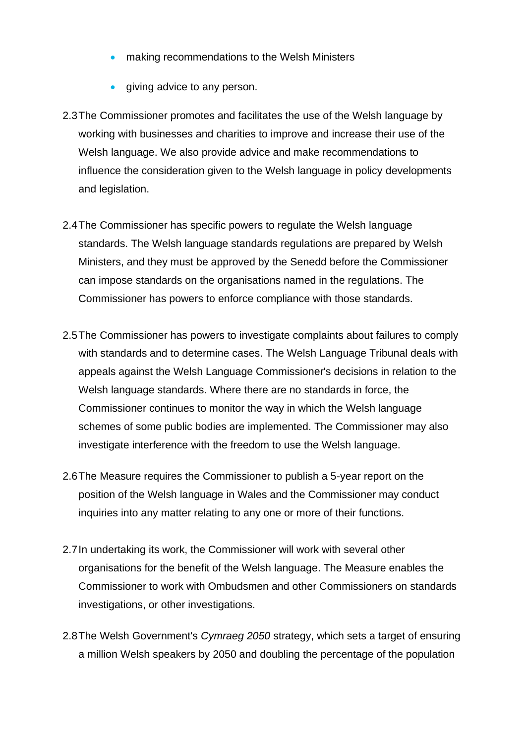- making recommendations to the Welsh Ministers
- giving advice to any person.
- 2.3The Commissioner promotes and facilitates the use of the Welsh language by working with businesses and charities to improve and increase their use of the Welsh language. We also provide advice and make recommendations to influence the consideration given to the Welsh language in policy developments and legislation.
- 2.4The Commissioner has specific powers to regulate the Welsh language standards. The Welsh language standards regulations are prepared by Welsh Ministers, and they must be approved by the Senedd before the Commissioner can impose standards on the organisations named in the regulations. The Commissioner has powers to enforce compliance with those standards.
- 2.5The Commissioner has powers to investigate complaints about failures to comply with standards and to determine cases. The Welsh Language Tribunal deals with appeals against the Welsh Language Commissioner's decisions in relation to the Welsh language standards. Where there are no standards in force, the Commissioner continues to monitor the way in which the Welsh language schemes of some public bodies are implemented. The Commissioner may also investigate interference with the freedom to use the Welsh language.
- 2.6The Measure requires the Commissioner to publish a 5-year report on the position of the Welsh language in Wales and the Commissioner may conduct inquiries into any matter relating to any one or more of their functions.
- 2.7In undertaking its work, the Commissioner will work with several other organisations for the benefit of the Welsh language. The Measure enables the Commissioner to work with Ombudsmen and other Commissioners on standards investigations, or other investigations.
- 2.8The Welsh Government's *Cymraeg 2050* strategy, which sets a target of ensuring a million Welsh speakers by 2050 and doubling the percentage of the population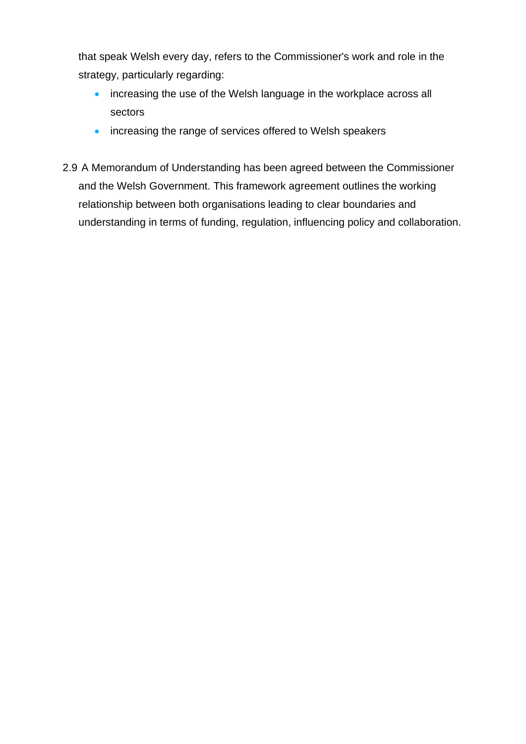that speak Welsh every day, refers to the Commissioner's work and role in the strategy, particularly regarding:

- increasing the use of the Welsh language in the workplace across all sectors
- increasing the range of services offered to Welsh speakers
- 2.9 A Memorandum of Understanding has been agreed between the Commissioner and the Welsh Government. This framework agreement outlines the working relationship between both organisations leading to clear boundaries and understanding in terms of funding, regulation, influencing policy and collaboration.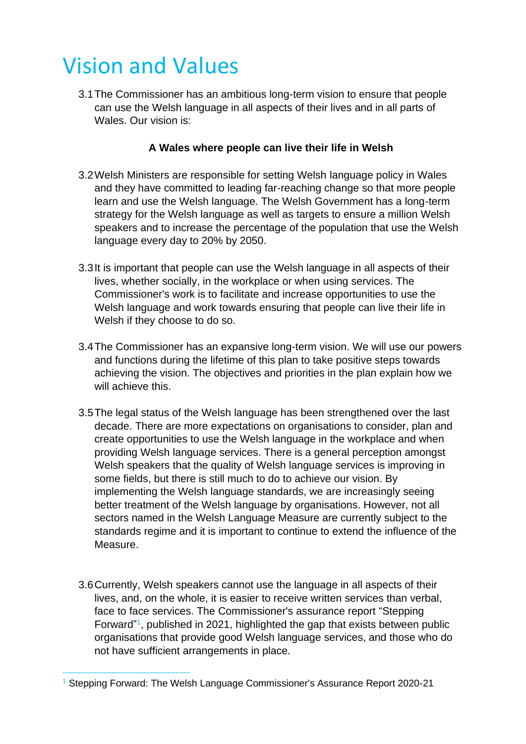### <span id="page-6-0"></span>Vision and Values

3.1The Commissioner has an ambitious long-term vision to ensure that people can use the Welsh language in all aspects of their lives and in all parts of Wales. Our vision is:

#### **A Wales where people can live their life in Welsh**

- 3.2Welsh Ministers are responsible for setting Welsh language policy in Wales and they have committed to leading far-reaching change so that more people learn and use the Welsh language. The Welsh Government has a long-term strategy for the Welsh language as well as targets to ensure a million Welsh speakers and to increase the percentage of the population that use the Welsh language every day to 20% by 2050.
- 3.3It is important that people can use the Welsh language in all aspects of their lives, whether socially, in the workplace or when using services. The Commissioner's work is to facilitate and increase opportunities to use the Welsh language and work towards ensuring that people can live their life in Welsh if they choose to do so.
- 3.4The Commissioner has an expansive long-term vision. We will use our powers and functions during the lifetime of this plan to take positive steps towards achieving the vision. The objectives and priorities in the plan explain how we will achieve this.
- 3.5The legal status of the Welsh language has been strengthened over the last decade. There are more expectations on organisations to consider, plan and create opportunities to use the Welsh language in the workplace and when providing Welsh language services. There is a general perception amongst Welsh speakers that the quality of Welsh language services is improving in some fields, but there is still much to do to achieve our vision. By implementing the Welsh language standards, we are increasingly seeing better treatment of the Welsh language by organisations. However, not all sectors named in the Welsh Language Measure are currently subject to the standards regime and it is important to continue to extend the influence of the Measure.
- 3.6Currently, Welsh speakers cannot use the language in all aspects of their lives, and, on the whole, it is easier to receive written services than verbal, face to face services. The Commissioner's assurance report "Stepping Forward"<sup>1</sup>, published in 2021, highlighted the gap that exists between public organisations that provide good Welsh language services, and those who do not have sufficient arrangements in place.

<sup>&</sup>lt;sup>1</sup> Stepping Forward: The Welsh Language Commissioner's Assurance Report 2020-21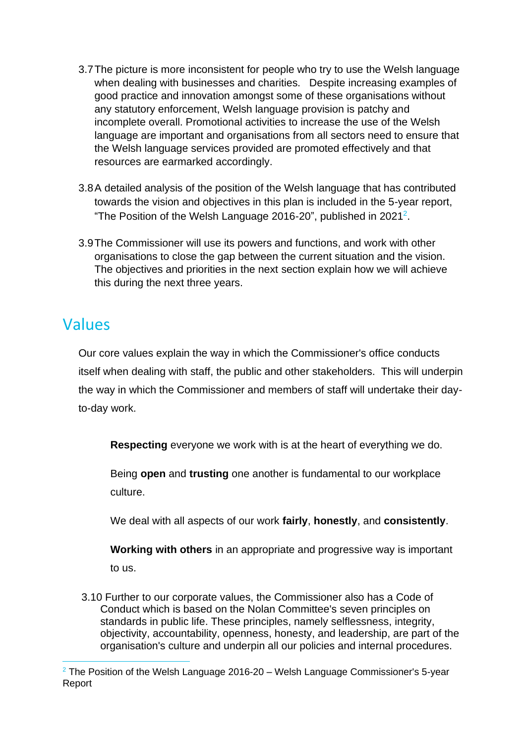- 3.7The picture is more inconsistent for people who try to use the Welsh language when dealing with businesses and charities. Despite increasing examples of good practice and innovation amongst some of these organisations without any statutory enforcement, Welsh language provision is patchy and incomplete overall. Promotional activities to increase the use of the Welsh language are important and organisations from all sectors need to ensure that the Welsh language services provided are promoted effectively and that resources are earmarked accordingly.
- 3.8A detailed analysis of the position of the Welsh language that has contributed towards the vision and objectives in this plan is included in the 5-year report, "The Position of the Welsh Language 2016-20", published in 2021<sup>2</sup>.
- 3.9The Commissioner will use its powers and functions, and work with other organisations to close the gap between the current situation and the vision. The objectives and priorities in the next section explain how we will achieve this during the next three years.

#### <span id="page-7-0"></span>Values

Our core values explain the way in which the Commissioner's office conducts itself when dealing with staff, the public and other stakeholders. This will underpin the way in which the Commissioner and members of staff will undertake their dayto-day work.

**Respecting** everyone we work with is at the heart of everything we do.

Being **open** and **trusting** one another is fundamental to our workplace culture.

We deal with all aspects of our work **fairly**, **honestly**, and **consistently**.

**Working with others** in an appropriate and progressive way is important to us.

3.10 Further to our corporate values, the Commissioner also has a Code of Conduct which is based on the Nolan Committee's seven principles on standards in public life. These principles, namely selflessness, integrity, objectivity, accountability, openness, honesty, and leadership, are part of the organisation's culture and underpin all our policies and internal procedures.

 $2$  The Position of the Welsh Language 2016-20 – Welsh Language Commissioner's 5-year Report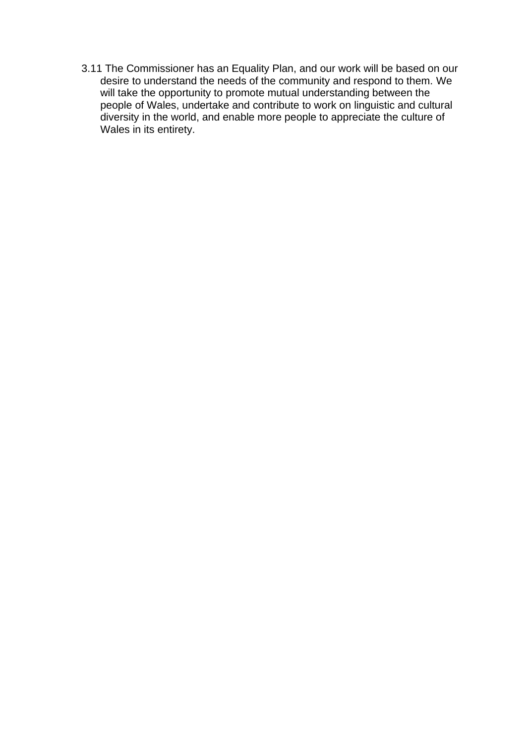3.11 The Commissioner has an Equality Plan, and our work will be based on our desire to understand the needs of the community and respond to them. We will take the opportunity to promote mutual understanding between the people of Wales, undertake and contribute to work on linguistic and cultural diversity in the world, and enable more people to appreciate the culture of Wales in its entirety.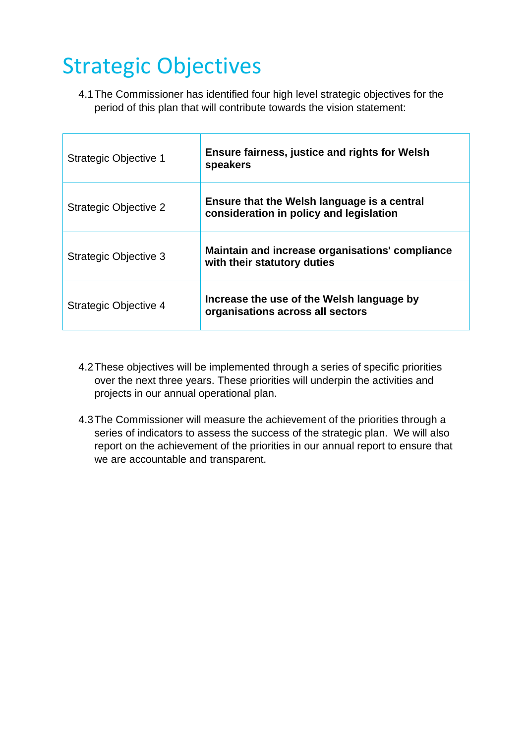### <span id="page-9-0"></span>Strategic Objectives

4.1The Commissioner has identified four high level strategic objectives for the period of this plan that will contribute towards the vision statement:

| <b>Strategic Objective 1</b> | <b>Ensure fairness, justice and rights for Welsh</b><br>speakers                       |
|------------------------------|----------------------------------------------------------------------------------------|
| <b>Strategic Objective 2</b> | Ensure that the Welsh language is a central<br>consideration in policy and legislation |
| <b>Strategic Objective 3</b> | Maintain and increase organisations' compliance<br>with their statutory duties         |
| <b>Strategic Objective 4</b> | Increase the use of the Welsh language by<br>organisations across all sectors          |

- 4.2These objectives will be implemented through a series of specific priorities over the next three years. These priorities will underpin the activities and projects in our annual operational plan.
- 4.3The Commissioner will measure the achievement of the priorities through a series of indicators to assess the success of the strategic plan. We will also report on the achievement of the priorities in our annual report to ensure that we are accountable and transparent.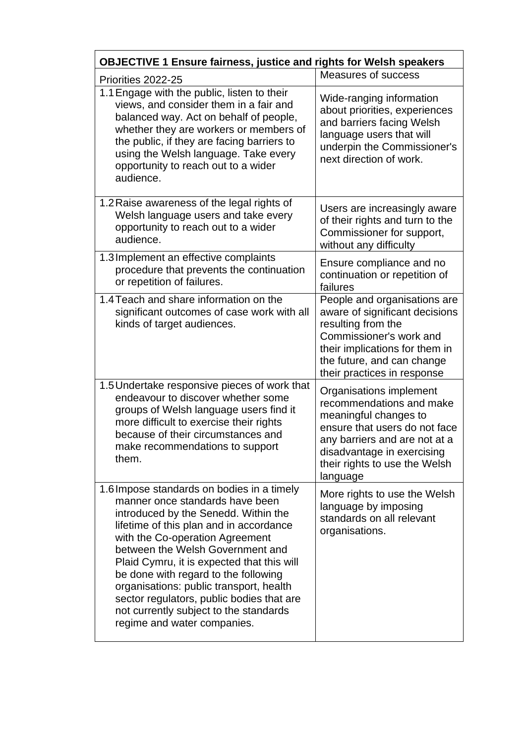| <b>OBJECTIVE 1 Ensure fairness, justice and rights for Welsh speakers</b>                                                                                                                                                                                                                                                                                                                                                                                                                      |                                                                                                                                                                                                                           |  |
|------------------------------------------------------------------------------------------------------------------------------------------------------------------------------------------------------------------------------------------------------------------------------------------------------------------------------------------------------------------------------------------------------------------------------------------------------------------------------------------------|---------------------------------------------------------------------------------------------------------------------------------------------------------------------------------------------------------------------------|--|
| Priorities 2022-25                                                                                                                                                                                                                                                                                                                                                                                                                                                                             | Measures of success                                                                                                                                                                                                       |  |
| 1.1 Engage with the public, listen to their<br>views, and consider them in a fair and<br>balanced way. Act on behalf of people,<br>whether they are workers or members of<br>the public, if they are facing barriers to<br>using the Welsh language. Take every<br>opportunity to reach out to a wider<br>audience.                                                                                                                                                                            | Wide-ranging information<br>about priorities, experiences<br>and barriers facing Welsh<br>language users that will<br>underpin the Commissioner's<br>next direction of work.                                              |  |
| 1.2 Raise awareness of the legal rights of<br>Welsh language users and take every<br>opportunity to reach out to a wider<br>audience.                                                                                                                                                                                                                                                                                                                                                          | Users are increasingly aware<br>of their rights and turn to the<br>Commissioner for support,<br>without any difficulty                                                                                                    |  |
| 1.3 Implement an effective complaints<br>procedure that prevents the continuation<br>or repetition of failures.                                                                                                                                                                                                                                                                                                                                                                                | Ensure compliance and no<br>continuation or repetition of<br>failures                                                                                                                                                     |  |
| 1.4 Teach and share information on the<br>significant outcomes of case work with all<br>kinds of target audiences.                                                                                                                                                                                                                                                                                                                                                                             | People and organisations are<br>aware of significant decisions<br>resulting from the<br>Commissioner's work and<br>their implications for them in<br>the future, and can change<br>their practices in response            |  |
| 1.5 Undertake responsive pieces of work that<br>endeavour to discover whether some<br>groups of Welsh language users find it<br>more difficult to exercise their rights<br>because of their circumstances and<br>make recommendations to support<br>them.                                                                                                                                                                                                                                      | Organisations implement<br>recommendations and make<br>meaningful changes to<br>ensure that users do not face<br>any barriers and are not at a<br>disadvantage in exercising<br>their rights to use the Welsh<br>language |  |
| 1.6 Impose standards on bodies in a timely<br>manner once standards have been<br>introduced by the Senedd. Within the<br>lifetime of this plan and in accordance<br>with the Co-operation Agreement<br>between the Welsh Government and<br>Plaid Cymru, it is expected that this will<br>be done with regard to the following<br>organisations: public transport, health<br>sector regulators, public bodies that are<br>not currently subject to the standards<br>regime and water companies. | More rights to use the Welsh<br>language by imposing<br>standards on all relevant<br>organisations.                                                                                                                       |  |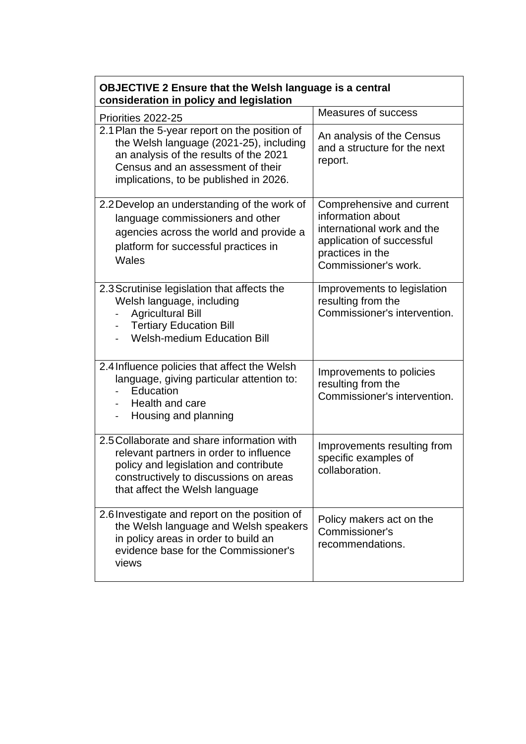| Priorities 2022-25                                                                                                                                                                                                | Measures of success                                                                                                                                   |
|-------------------------------------------------------------------------------------------------------------------------------------------------------------------------------------------------------------------|-------------------------------------------------------------------------------------------------------------------------------------------------------|
| 2.1 Plan the 5-year report on the position of<br>the Welsh language (2021-25), including<br>an analysis of the results of the 2021<br>Census and an assessment of their<br>implications, to be published in 2026. | An analysis of the Census<br>and a structure for the next<br>report.                                                                                  |
| 2.2 Develop an understanding of the work of<br>language commissioners and other<br>agencies across the world and provide a<br>platform for successful practices in<br>Wales                                       | Comprehensive and current<br>information about<br>international work and the<br>application of successful<br>practices in the<br>Commissioner's work. |
| 2.3 Scrutinise legislation that affects the<br>Welsh language, including<br><b>Agricultural Bill</b><br><b>Tertiary Education Bill</b><br>$\blacksquare$<br><b>Welsh-medium Education Bill</b>                    | Improvements to legislation<br>resulting from the<br>Commissioner's intervention.                                                                     |
| 2.4 Influence policies that affect the Welsh<br>language, giving particular attention to:<br>Education<br>Health and care<br>Housing and planning<br>$\overline{\phantom{0}}$                                     | Improvements to policies<br>resulting from the<br>Commissioner's intervention.                                                                        |
| 2.5 Collaborate and share information with<br>relevant partners in order to influence<br>policy and legislation and contribute<br>constructively to discussions on areas<br>that affect the Welsh language        | Improvements resulting from<br>specific examples of<br>collaboration.                                                                                 |
| 2.6 Investigate and report on the position of<br>the Welsh language and Welsh speakers<br>in policy areas in order to build an<br>evidence base for the Commissioner's<br>views                                   | Policy makers act on the<br>Commissioner's<br>recommendations.                                                                                        |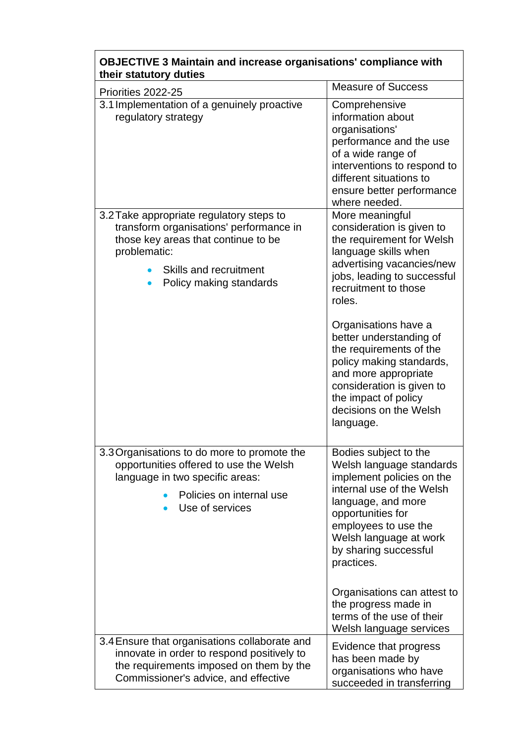| their statutory duties<br>Priorities 2022-25                                                                                                                                                    | <b>Measure of Success</b>                                                                                                                                                                                                                       |
|-------------------------------------------------------------------------------------------------------------------------------------------------------------------------------------------------|-------------------------------------------------------------------------------------------------------------------------------------------------------------------------------------------------------------------------------------------------|
| 3.1 Implementation of a genuinely proactive<br>regulatory strategy                                                                                                                              | Comprehensive<br>information about<br>organisations'<br>performance and the use<br>of a wide range of<br>interventions to respond to<br>different situations to<br>ensure better performance<br>where needed.                                   |
| 3.2 Take appropriate regulatory steps to<br>transform organisations' performance in<br>those key areas that continue to be<br>problematic:<br>Skills and recruitment<br>Policy making standards | More meaningful<br>consideration is given to<br>the requirement for Welsh<br>language skills when<br>advertising vacancies/new<br>jobs, leading to successful<br>recruitment to those<br>roles.                                                 |
|                                                                                                                                                                                                 | Organisations have a<br>better understanding of<br>the requirements of the<br>policy making standards,<br>and more appropriate<br>consideration is given to<br>the impact of policy<br>decisions on the Welsh<br>language.                      |
| 3.3 Organisations to do more to promote the<br>opportunities offered to use the Welsh<br>language in two specific areas:<br>Policies on internal use<br>Use of services                         | Bodies subject to the<br>Welsh language standards<br>implement policies on the<br>internal use of the Welsh<br>language, and more<br>opportunities for<br>employees to use the<br>Welsh language at work<br>by sharing successful<br>practices. |
|                                                                                                                                                                                                 | Organisations can attest to<br>the progress made in<br>terms of the use of their<br>Welsh language services                                                                                                                                     |
| 3.4 Ensure that organisations collaborate and<br>innovate in order to respond positively to<br>the requirements imposed on them by the<br>Commissioner's advice, and effective                  | Evidence that progress<br>has been made by<br>organisations who have<br>succeeded in transferring                                                                                                                                               |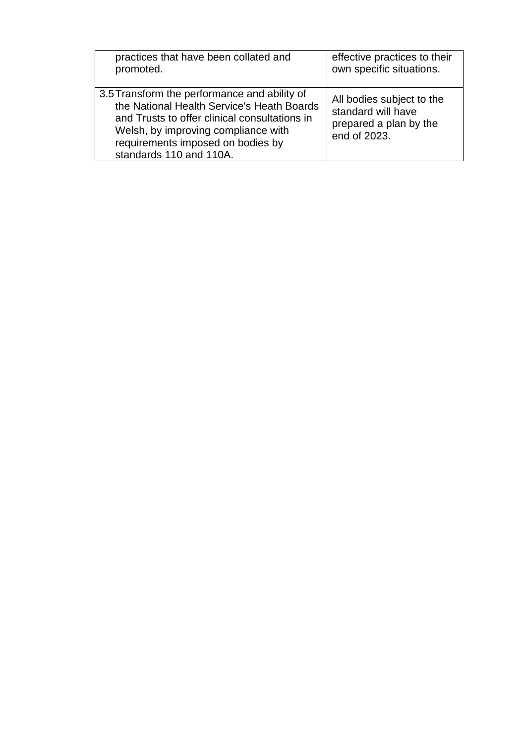| practices that have been collated and                                                                                                                                                                                                              | effective practices to their                                                              |
|----------------------------------------------------------------------------------------------------------------------------------------------------------------------------------------------------------------------------------------------------|-------------------------------------------------------------------------------------------|
| promoted.                                                                                                                                                                                                                                          | own specific situations.                                                                  |
| 3.5 Transform the performance and ability of<br>the National Health Service's Heath Boards<br>and Trusts to offer clinical consultations in<br>Welsh, by improving compliance with<br>requirements imposed on bodies by<br>standards 110 and 110A. | All bodies subject to the<br>standard will have<br>prepared a plan by the<br>end of 2023. |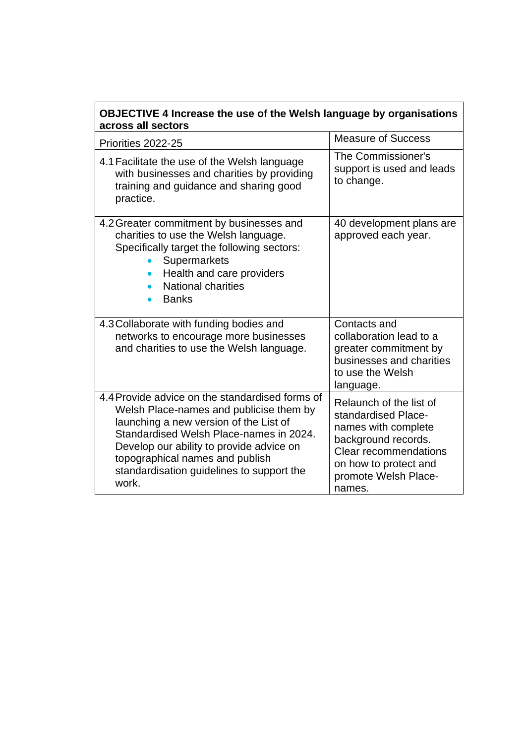| across all sectors<br>Priorities 2022-25                                                                                                                                                                                                                                                                             | <b>Measure of Success</b>                                                                                                                                                               |
|----------------------------------------------------------------------------------------------------------------------------------------------------------------------------------------------------------------------------------------------------------------------------------------------------------------------|-----------------------------------------------------------------------------------------------------------------------------------------------------------------------------------------|
| 4.1 Facilitate the use of the Welsh language<br>with businesses and charities by providing<br>training and guidance and sharing good<br>practice.                                                                                                                                                                    | The Commissioner's<br>support is used and leads<br>to change.                                                                                                                           |
| 4.2 Greater commitment by businesses and<br>charities to use the Welsh language.<br>Specifically target the following sectors:<br>Supermarkets<br>Health and care providers<br><b>National charities</b><br><b>Banks</b>                                                                                             | 40 development plans are<br>approved each year.                                                                                                                                         |
| 4.3 Collaborate with funding bodies and<br>networks to encourage more businesses<br>and charities to use the Welsh language.                                                                                                                                                                                         | Contacts and<br>collaboration lead to a<br>greater commitment by<br>businesses and charities<br>to use the Welsh<br>language.                                                           |
| 4.4 Provide advice on the standardised forms of<br>Welsh Place-names and publicise them by<br>launching a new version of the List of<br>Standardised Welsh Place-names in 2024.<br>Develop our ability to provide advice on<br>topographical names and publish<br>standardisation guidelines to support the<br>work. | Relaunch of the list of<br>standardised Place-<br>names with complete<br>background records.<br><b>Clear recommendations</b><br>on how to protect and<br>promote Welsh Place-<br>names. |

<u> 1980 - Johann Barnett, fransk politik (</u>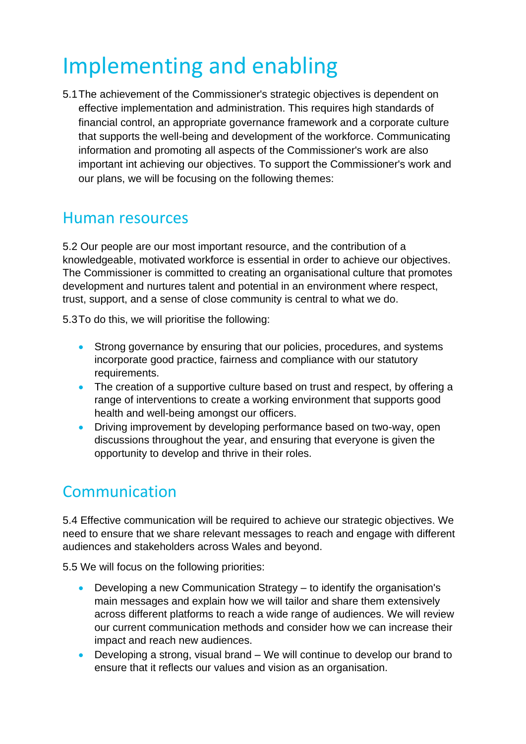# <span id="page-15-0"></span>Implementing and enabling

5.1The achievement of the Commissioner's strategic objectives is dependent on effective implementation and administration. This requires high standards of financial control, an appropriate governance framework and a corporate culture that supports the well-being and development of the workforce. Communicating information and promoting all aspects of the Commissioner's work are also important int achieving our objectives. To support the Commissioner's work and our plans, we will be focusing on the following themes:

#### <span id="page-15-1"></span>Human resources

5.2 Our people are our most important resource, and the contribution of a knowledgeable, motivated workforce is essential in order to achieve our objectives. The Commissioner is committed to creating an organisational culture that promotes development and nurtures talent and potential in an environment where respect, trust, support, and a sense of close community is central to what we do.

5.3To do this, we will prioritise the following:

- Strong governance by ensuring that our policies, procedures, and systems incorporate good practice, fairness and compliance with our statutory requirements.
- The creation of a supportive culture based on trust and respect, by offering a range of interventions to create a working environment that supports good health and well-being amongst our officers.
- Driving improvement by developing performance based on two-way, open discussions throughout the year, and ensuring that everyone is given the opportunity to develop and thrive in their roles.

### <span id="page-15-2"></span>Communication

5.4 Effective communication will be required to achieve our strategic objectives. We need to ensure that we share relevant messages to reach and engage with different audiences and stakeholders across Wales and beyond.

5.5 We will focus on the following priorities:

- Developing a new Communication Strategy to identify the organisation's main messages and explain how we will tailor and share them extensively across different platforms to reach a wide range of audiences. We will review our current communication methods and consider how we can increase their impact and reach new audiences.
- Developing a strong, visual brand We will continue to develop our brand to ensure that it reflects our values and vision as an organisation.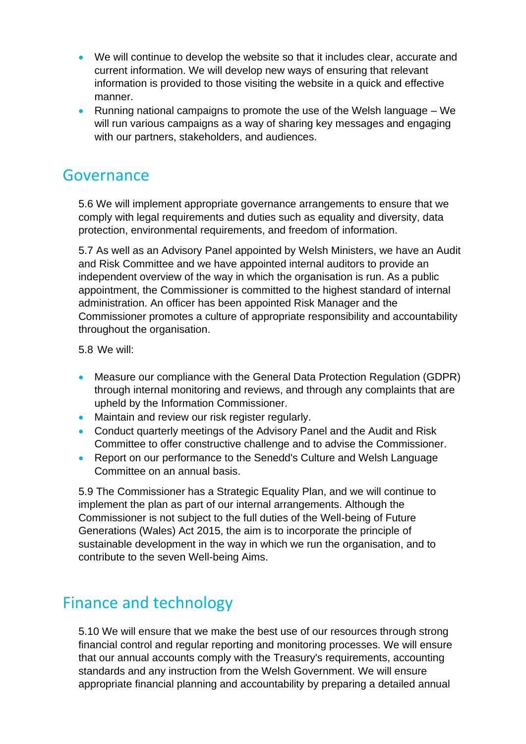- We will continue to develop the website so that it includes clear, accurate and current information. We will develop new ways of ensuring that relevant information is provided to those visiting the website in a quick and effective manner.
- Running national campaigns to promote the use of the Welsh language We will run various campaigns as a way of sharing key messages and engaging with our partners, stakeholders, and audiences.

#### <span id="page-16-0"></span>Governance

5.6 We will implement appropriate governance arrangements to ensure that we comply with legal requirements and duties such as equality and diversity, data protection, environmental requirements, and freedom of information.

5.7 As well as an Advisory Panel appointed by Welsh Ministers, we have an Audit and Risk Committee and we have appointed internal auditors to provide an independent overview of the way in which the organisation is run. As a public appointment, the Commissioner is committed to the highest standard of internal administration. An officer has been appointed Risk Manager and the Commissioner promotes a culture of appropriate responsibility and accountability throughout the organisation.

5.8 We will:

- Measure our compliance with the General Data Protection Regulation (GDPR) through internal monitoring and reviews, and through any complaints that are upheld by the Information Commissioner.
- Maintain and review our risk register regularly.
- Conduct quarterly meetings of the Advisory Panel and the Audit and Risk Committee to offer constructive challenge and to advise the Commissioner.
- Report on our performance to the Senedd's Culture and Welsh Language Committee on an annual basis.

5.9 The Commissioner has a Strategic Equality Plan, and we will continue to implement the plan as part of our internal arrangements. Although the Commissioner is not subject to the full duties of the Well-being of Future Generations (Wales) Act 2015, the aim is to incorporate the principle of sustainable development in the way in which we run the organisation, and to contribute to the seven Well-being Aims.

#### <span id="page-16-1"></span>Finance and technology

5.10 We will ensure that we make the best use of our resources through strong financial control and regular reporting and monitoring processes. We will ensure that our annual accounts comply with the Treasury's requirements, accounting standards and any instruction from the Welsh Government. We will ensure appropriate financial planning and accountability by preparing a detailed annual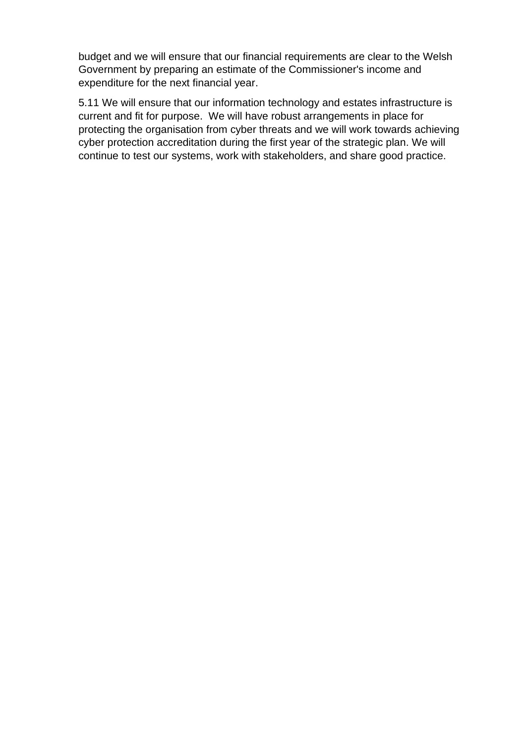budget and we will ensure that our financial requirements are clear to the Welsh Government by preparing an estimate of the Commissioner's income and expenditure for the next financial year.

5.11 We will ensure that our information technology and estates infrastructure is current and fit for purpose. We will have robust arrangements in place for protecting the organisation from cyber threats and we will work towards achieving cyber protection accreditation during the first year of the strategic plan. We will continue to test our systems, work with stakeholders, and share good practice.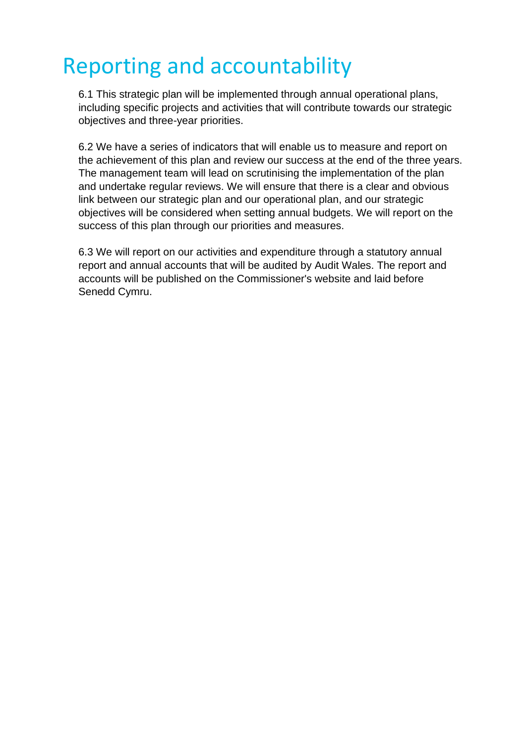# <span id="page-18-0"></span>Reporting and accountability

6.1 This strategic plan will be implemented through annual operational plans, including specific projects and activities that will contribute towards our strategic objectives and three-year priorities.

6.2 We have a series of indicators that will enable us to measure and report on the achievement of this plan and review our success at the end of the three years. The management team will lead on scrutinising the implementation of the plan and undertake regular reviews. We will ensure that there is a clear and obvious link between our strategic plan and our operational plan, and our strategic objectives will be considered when setting annual budgets. We will report on the success of this plan through our priorities and measures.

6.3 We will report on our activities and expenditure through a statutory annual report and annual accounts that will be audited by Audit Wales. The report and accounts will be published on the Commissioner's website and laid before Senedd Cymru.